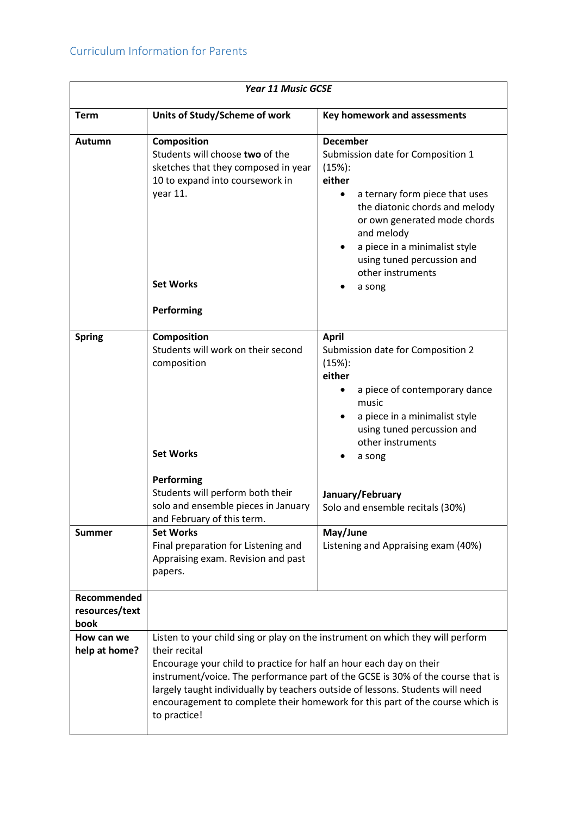## Curriculum Information for Parents

| <b>Year 11 Music GCSE</b>             |                                                                                                                                                                                                                                                                                                                                                                                                                                              |                                                                                                                                                                                                                                                                                                                    |
|---------------------------------------|----------------------------------------------------------------------------------------------------------------------------------------------------------------------------------------------------------------------------------------------------------------------------------------------------------------------------------------------------------------------------------------------------------------------------------------------|--------------------------------------------------------------------------------------------------------------------------------------------------------------------------------------------------------------------------------------------------------------------------------------------------------------------|
| <b>Term</b>                           | Units of Study/Scheme of work                                                                                                                                                                                                                                                                                                                                                                                                                | Key homework and assessments                                                                                                                                                                                                                                                                                       |
| Autumn                                | Composition<br>Students will choose two of the<br>sketches that they composed in year<br>10 to expand into coursework in<br>year 11.<br><b>Set Works</b><br>Performing                                                                                                                                                                                                                                                                       | <b>December</b><br>Submission date for Composition 1<br>(15%):<br>either<br>a ternary form piece that uses<br>$\bullet$<br>the diatonic chords and melody<br>or own generated mode chords<br>and melody<br>a piece in a minimalist style<br>$\bullet$<br>using tuned percussion and<br>other instruments<br>a song |
| <b>Spring</b>                         | <b>Composition</b><br>Students will work on their second<br>composition<br><b>Set Works</b><br>Performing                                                                                                                                                                                                                                                                                                                                    | <b>April</b><br>Submission date for Composition 2<br>(15%):<br>either<br>a piece of contemporary dance<br>$\bullet$<br>music<br>a piece in a minimalist style<br>using tuned percussion and<br>other instruments<br>a song                                                                                         |
|                                       | Students will perform both their<br>solo and ensemble pieces in January<br>and February of this term.                                                                                                                                                                                                                                                                                                                                        | January/February<br>Solo and ensemble recitals (30%)                                                                                                                                                                                                                                                               |
| <b>Summer</b>                         | <b>Set Works</b><br>Final preparation for Listening and<br>Appraising exam. Revision and past<br>papers.                                                                                                                                                                                                                                                                                                                                     | May/June<br>Listening and Appraising exam (40%)                                                                                                                                                                                                                                                                    |
| Recommended<br>resources/text<br>book |                                                                                                                                                                                                                                                                                                                                                                                                                                              |                                                                                                                                                                                                                                                                                                                    |
| How can we<br>help at home?           | Listen to your child sing or play on the instrument on which they will perform<br>their recital<br>Encourage your child to practice for half an hour each day on their<br>instrument/voice. The performance part of the GCSE is 30% of the course that is<br>largely taught individually by teachers outside of lessons. Students will need<br>encouragement to complete their homework for this part of the course which is<br>to practice! |                                                                                                                                                                                                                                                                                                                    |